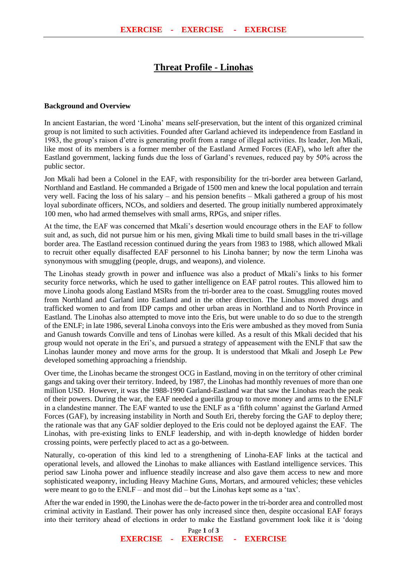## **Threat Profile - Linohas**

## **Background and Overview**

In ancient Eastarian, the word 'Linoha' means self-preservation, but the intent of this organized criminal group is not limited to such activities. Founded after Garland achieved its independence from Eastland in 1983, the group's raison d'etre is generating profit from a range of illegal activities. Its leader, Jon Mkali, like most of its members is a former member of the Eastland Armed Forces (EAF), who left after the Eastland government, lacking funds due the loss of Garland's revenues, reduced pay by 50% across the public sector.

Jon Mkali had been a Colonel in the EAF, with responsibility for the tri-border area between Garland, Northland and Eastland. He commanded a Brigade of 1500 men and knew the local population and terrain very well. Facing the loss of his salary – and his pension benefits – Mkali gathered a group of his most loyal subordinate officers, NCOs, and soldiers and deserted. The group initially numbered approximately 100 men, who had armed themselves with small arms, RPGs, and sniper rifles.

At the time, the EAF was concerned that Mkali's desertion would encourage others in the EAF to follow suit and, as such, did not pursue him or his men, giving Mkali time to build small bases in the tri-village border area. The Eastland recession continued during the years from 1983 to 1988, which allowed Mkali to recruit other equally disaffected EAF personnel to his Linoha banner; by now the term Linoha was synonymous with smuggling (people, drugs, and weapons), and violence.

The Linohas steady growth in power and influence was also a product of Mkali's links to his former security force networks, which he used to gather intelligence on EAF patrol routes. This allowed him to move Linoha goods along Eastland MSRs from the tri-border area to the coast. Smuggling routes moved from Northland and Garland into Eastland and in the other direction. The Linohas moved drugs and trafficked women to and from IDP camps and other urban areas in Northland and to North Province in Eastland. The Linohas also attempted to move into the Eris, but were unable to do so due to the strength of the ENLF; in late 1986, several Linoha convoys into the Eris were ambushed as they moved from Sunia and Ganush towards Conville and tens of Linohas were killed. As a result of this Mkali decided that his group would not operate in the Eri's, and pursued a strategy of appeasement with the ENLF that saw the Linohas launder money and move arms for the group. It is understood that Mkali and Joseph Le Pew developed something approaching a friendship.

Over time, the Linohas became the strongest OCG in Eastland, moving in on the territory of other criminal gangs and taking over their territory. Indeed, by 1987, the Linohas had monthly revenues of more than one million USD. However, it was the 1988-1990 Garland-Eastland war that saw the Linohas reach the peak of their powers. During the war, the EAF needed a guerilla group to move money and arms to the ENLF in a clandestine manner. The EAF wanted to use the ENLF as a 'fifth column' against the Garland Armed Forces (GAF), by increasing instability in North and South Eri, thereby forcing the GAF to deploy there; the rationale was that any GAF soldier deployed to the Eris could not be deployed against the EAF. The Linohas, with pre-existing links to ENLF leadership, and with in-depth knowledge of hidden border crossing points, were perfectly placed to act as a go-between.

Naturally, co-operation of this kind led to a strengthening of Linoha-EAF links at the tactical and operational levels, and allowed the Linohas to make alliances with Eastland intelligence services. This period saw Linoha power and influence steadily increase and also gave them access to new and more sophisticated weaponry, including Heavy Machine Guns, Mortars, and armoured vehicles; these vehicles were meant to go to the ENLF – and most did – but the Linohas kept some as a 'tax'.

After the war ended in 1990, the Linohas were the de-facto power in the tri-border area and controlled most criminal activity in Eastland. Their power has only increased since then, despite occasional EAF forays into their territory ahead of elections in order to make the Eastland government look like it is 'doing

> Page **1** of **3 EXERCISE - EXERCISE - EXERCISE**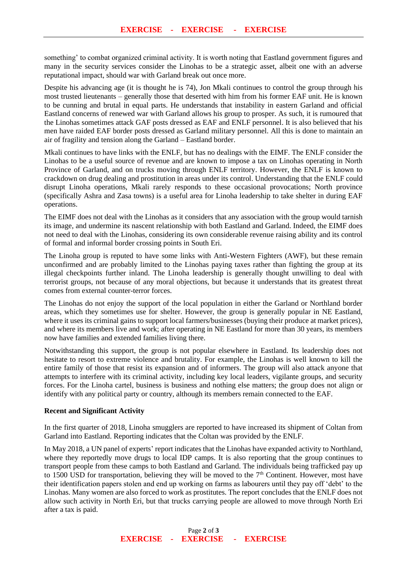something' to combat organized criminal activity. It is worth noting that Eastland government figures and many in the security services consider the Linohas to be a strategic asset, albeit one with an adverse reputational impact, should war with Garland break out once more.

Despite his advancing age (it is thought he is 74), Jon Mkali continues to control the group through his most trusted lieutenants – generally those that deserted with him from his former EAF unit. He is known to be cunning and brutal in equal parts. He understands that instability in eastern Garland and official Eastland concerns of renewed war with Garland allows his group to prosper. As such, it is rumoured that the Linohas sometimes attack GAF posts dressed as EAF and ENLF personnel. It is also believed that his men have raided EAF border posts dressed as Garland military personnel. All this is done to maintain an air of fragility and tension along the Garland – Eastland border.

Mkali continues to have links with the ENLF, but has no dealings with the EIMF. The ENLF consider the Linohas to be a useful source of revenue and are known to impose a tax on Linohas operating in North Province of Garland, and on trucks moving through ENLF territory. However, the ENLF is known to crackdown on drug dealing and prostitution in areas under its control. Understanding that the ENLF could disrupt Linoha operations, Mkali rarely responds to these occasional provocations; North province (specifically Ashra and Zasa towns) is a useful area for Linoha leadership to take shelter in during EAF operations.

The EIMF does not deal with the Linohas as it considers that any association with the group would tarnish its image, and undermine its nascent relationship with both Eastland and Garland. Indeed, the EIMF does not need to deal with the Linohas, considering its own considerable revenue raising ability and its control of formal and informal border crossing points in South Eri.

The Linoha group is reputed to have some links with Anti-Western Fighters (AWF), but these remain unconfirmed and are probably limited to the Linohas paying taxes rather than fighting the group at its illegal checkpoints further inland. The Linoha leadership is generally thought unwilling to deal with terrorist groups, not because of any moral objections, but because it understands that its greatest threat comes from external counter-terror forces.

The Linohas do not enjoy the support of the local population in either the Garland or Northland border areas, which they sometimes use for shelter. However, the group is generally popular in NE Eastland, where it uses its criminal gains to support local farmers/businesses (buying their produce at market prices), and where its members live and work; after operating in NE Eastland for more than 30 years, its members now have families and extended families living there.

Notwithstanding this support, the group is not popular elsewhere in Eastland. Its leadership does not hesitate to resort to extreme violence and brutality. For example, the Linohas is well known to kill the entire family of those that resist its expansion and of informers. The group will also attack anyone that attempts to interfere with its criminal activity, including key local leaders, vigilante groups, and security forces. For the Linoha cartel, business is business and nothing else matters; the group does not align or identify with any political party or country, although its members remain connected to the EAF.

## **Recent and Significant Activity**

In the first quarter of 2018, Linoha smugglers are reported to have increased its shipment of Coltan from Garland into Eastland. Reporting indicates that the Coltan was provided by the ENLF.

In May 2018, a UN panel of experts' report indicates that the Linohas have expanded activity to Northland, where they reportedly move drugs to local IDP camps. It is also reporting that the group continues to transport people from these camps to both Eastland and Garland. The individuals being trafficked pay up to 1500 USD for transportation, believing they will be moved to the  $7<sup>th</sup>$  Continent. However, most have their identification papers stolen and end up working on farms as labourers until they pay off 'debt' to the Linohas. Many women are also forced to work as prostitutes. The report concludes that the ENLF does not allow such activity in North Eri, but that trucks carrying people are allowed to move through North Eri after a tax is paid.